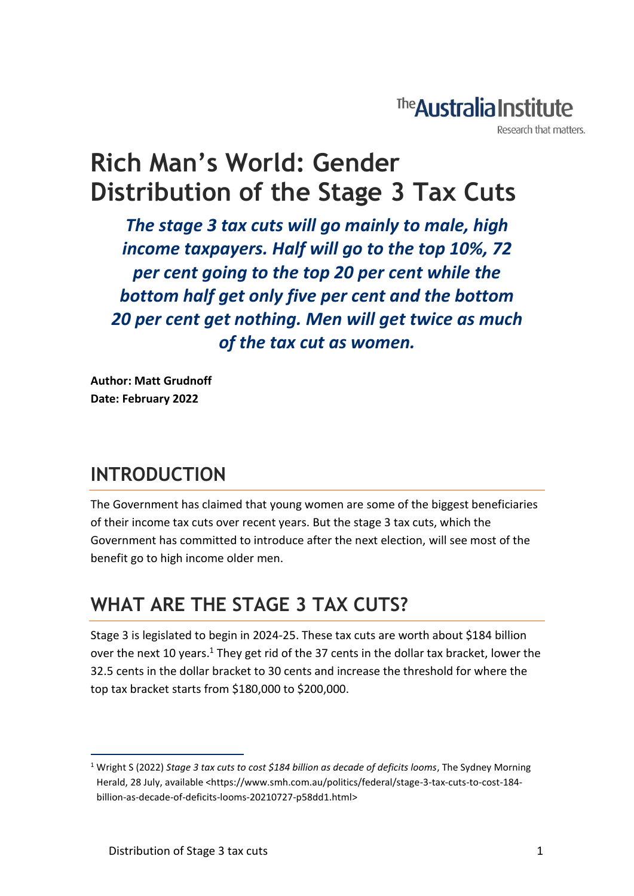# The **Australia Institute**

Research that matters.

# **Rich Man's World: Gender Distribution of the Stage 3 Tax Cuts**

*The stage 3 tax cuts will go mainly to male, high income taxpayers. Half will go to the top 10%, 72 per cent going to the top 20 per cent while the bottom half get only five per cent and the bottom 20 per cent get nothing. Men will get twice as much of the tax cut as women.*

**Author: Matt Grudnoff Date: February 2022**

### **INTRODUCTION**

The Government has claimed that young women are some of the biggest beneficiaries of their income tax cuts over recent years. But the stage 3 tax cuts, which the Government has committed to introduce after the next election, will see most of the benefit go to high income older men.

### **WHAT ARE THE STAGE 3 TAX CUTS?**

Stage 3 is legislated to begin in 2024-25. These tax cuts are worth about \$184 billion over the next 10 years.<sup>1</sup> They get rid of the 37 cents in the dollar tax bracket, lower the 32.5 cents in the dollar bracket to 30 cents and increase the threshold for where the top tax bracket starts from \$180,000 to \$200,000.

<sup>1</sup> Wright S (2022) *Stage 3 tax cuts to cost \$184 billion as decade of deficits looms*, The Sydney Morning Herald, 28 July, available <https://www.smh.com.au/politics/federal/stage-3-tax-cuts-to-cost-184billion-as-decade-of-deficits-looms-20210727-p58dd1.html>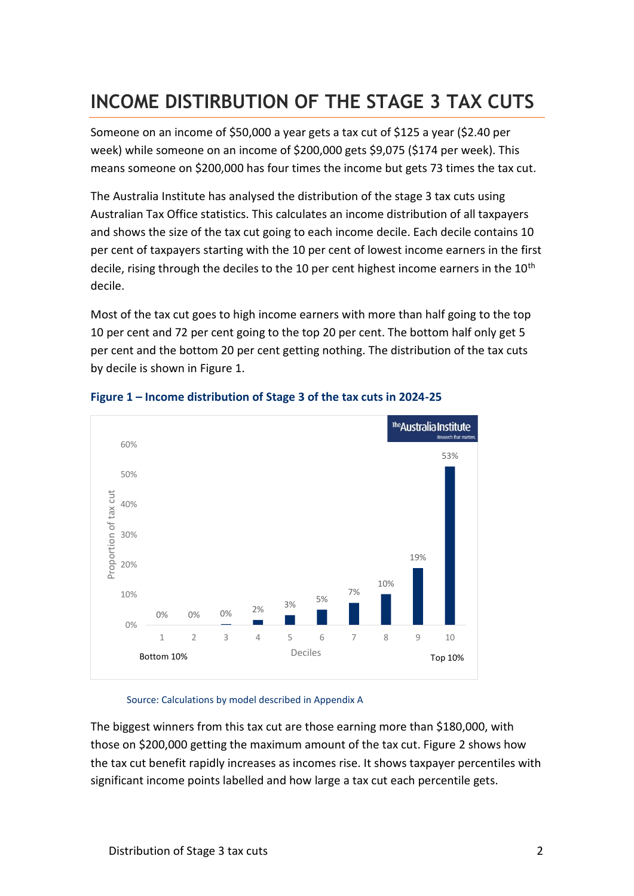### **INCOME DISTIRBUTION OF THE STAGE 3 TAX CUTS**

Someone on an income of \$50,000 a year gets a tax cut of \$125 a year (\$2.40 per week) while someone on an income of \$200,000 gets \$9,075 (\$174 per week). This means someone on \$200,000 has four times the income but gets 73 times the tax cut.

The Australia Institute has analysed the distribution of the stage 3 tax cuts using Australian Tax Office statistics. This calculates an income distribution of all taxpayers and shows the size of the tax cut going to each income decile. Each decile contains 10 per cent of taxpayers starting with the 10 per cent of lowest income earners in the first decile, rising through the deciles to the 10 per cent highest income earners in the  $10<sup>th</sup>$ decile.

Most of the tax cut goes to high income earners with more than half going to the top 10 per cent and 72 per cent going to the top 20 per cent. The bottom half only get 5 per cent and the bottom 20 per cent getting nothing. The distribution of the tax cuts by decile is shown in Figure 1.



#### **Figure 1 – Income distribution of Stage 3 of the tax cuts in 2024-25**

#### Source: Calculations by model described in Appendix A

The biggest winners from this tax cut are those earning more than \$180,000, with those on \$200,000 getting the maximum amount of the tax cut. Figure 2 shows how the tax cut benefit rapidly increases as incomes rise. It shows taxpayer percentiles with significant income points labelled and how large a tax cut each percentile gets.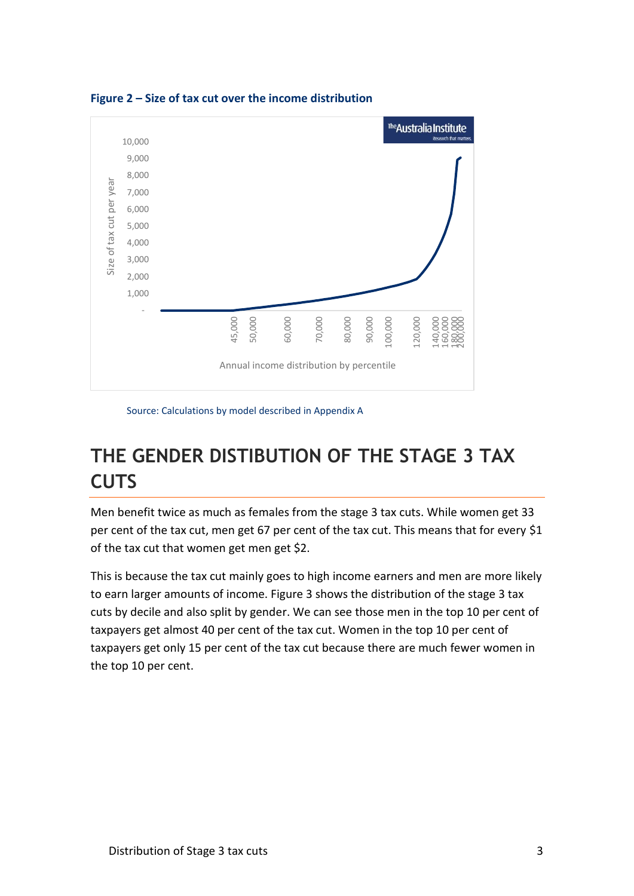

**Figure 2 – Size of tax cut over the income distribution**

Source: Calculations by model described in Appendix A

## **THE GENDER DISTIBUTION OF THE STAGE 3 TAX CUTS**

Men benefit twice as much as females from the stage 3 tax cuts. While women get 33 per cent of the tax cut, men get 67 per cent of the tax cut. This means that for every \$1 of the tax cut that women get men get \$2.

This is because the tax cut mainly goes to high income earners and men are more likely to earn larger amounts of income. Figure 3 shows the distribution of the stage 3 tax cuts by decile and also split by gender. We can see those men in the top 10 per cent of taxpayers get almost 40 per cent of the tax cut. Women in the top 10 per cent of taxpayers get only 15 per cent of the tax cut because there are much fewer women in the top 10 per cent.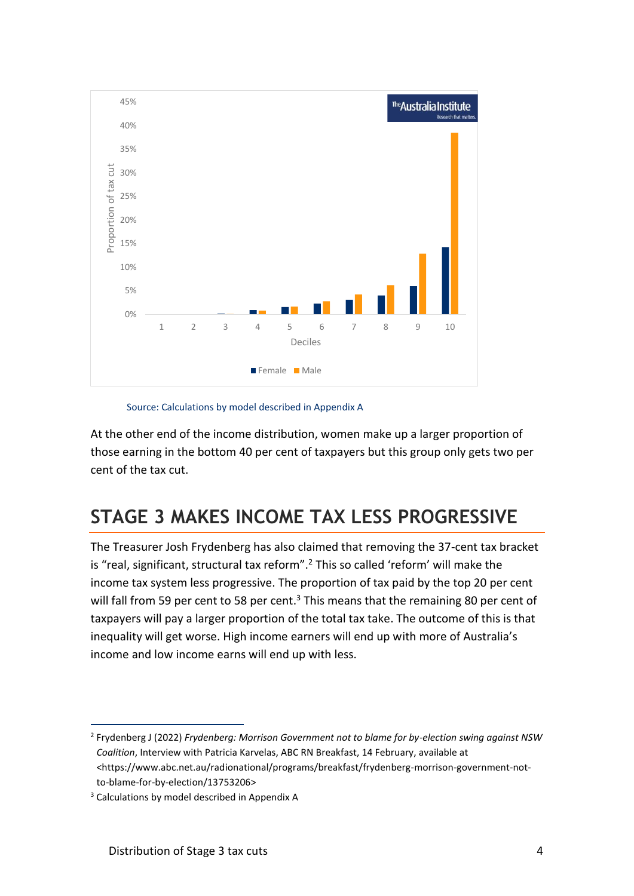

Source: Calculations by model described in Appendix A

At the other end of the income distribution, women make up a larger proportion of those earning in the bottom 40 per cent of taxpayers but this group only gets two per cent of the tax cut.

## **STAGE 3 MAKES INCOME TAX LESS PROGRESSIVE**

The Treasurer Josh Frydenberg has also claimed that removing the 37-cent tax bracket is "real, significant, structural tax reform".<sup>2</sup> This so called 'reform' will make the income tax system less progressive. The proportion of tax paid by the top 20 per cent will fall from 59 per cent to 58 per cent.<sup>3</sup> This means that the remaining 80 per cent of taxpayers will pay a larger proportion of the total tax take. The outcome of this is that inequality will get worse. High income earners will end up with more of Australia's income and low income earns will end up with less.

<sup>2</sup> Frydenberg J (2022) *Frydenberg: Morrison Government not to blame for by-election swing against NSW Coalition*, Interview with Patricia Karvelas, ABC RN Breakfast, 14 February, available at <https://www.abc.net.au/radionational/programs/breakfast/frydenberg-morrison-government-notto-blame-for-by-election/13753206>

<sup>&</sup>lt;sup>3</sup> Calculations by model described in Appendix A